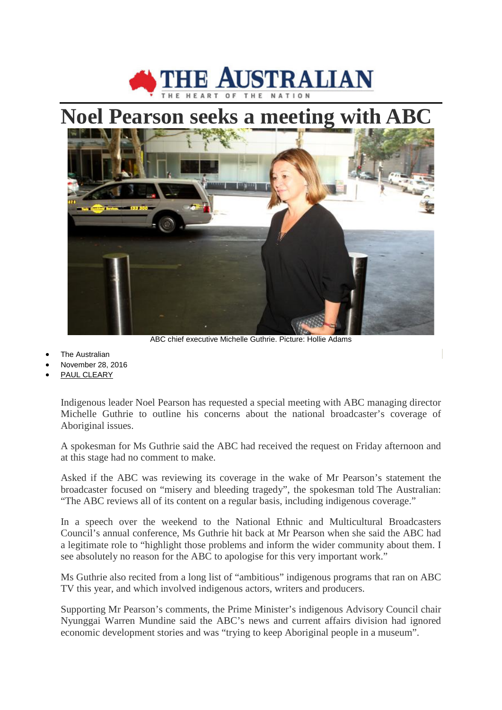

## **Noel Pearson seeks a meeting with ABC**



ABC chief executive Michelle Guthrie. Picture: Hollie Adams

- **The Australian**
- November 28, 2016
- [PAUL CLEARY](http://www.theaustralian.com.au/author/Paul+Cleary)

Indigenous leader Noel Pearson has requested a special meeting with ABC managing director Michelle Guthrie to outline his concerns about the national broadcaster's coverage of Aboriginal issues.

A spokesman for Ms Guthrie said the ABC had received the request on Friday afternoon and at this stage had no comment to make.

Asked if the ABC was reviewing its coverage in the wake of Mr Pearson's statement the broadcaster focused on "misery and bleeding tragedy", the spokesman told The Australian: "The ABC reviews all of its content on a regular basis, including indigenous coverage."

In a speech over the weekend to the National Ethnic and Multicultural Broadcasters Council's annual conference, Ms Guthrie hit back at Mr Pearson when she said the ABC had a legitimate role to "highlight those problems and inform the wider community about them. I see absolutely no reason for the ABC to apologise for this very important work."

Ms Guthrie also recited from a long list of "ambitious" indigenous programs that ran on ABC TV this year, and which involved indigenous actors, writers and producers.

Supporting Mr Pearson's comments, the Prime Minister's indigenous Advisory Council chair Nyunggai Warren Mundine said the ABC's news and current affairs division had ignored economic development stories and was "trying to keep Aboriginal people in a museum".